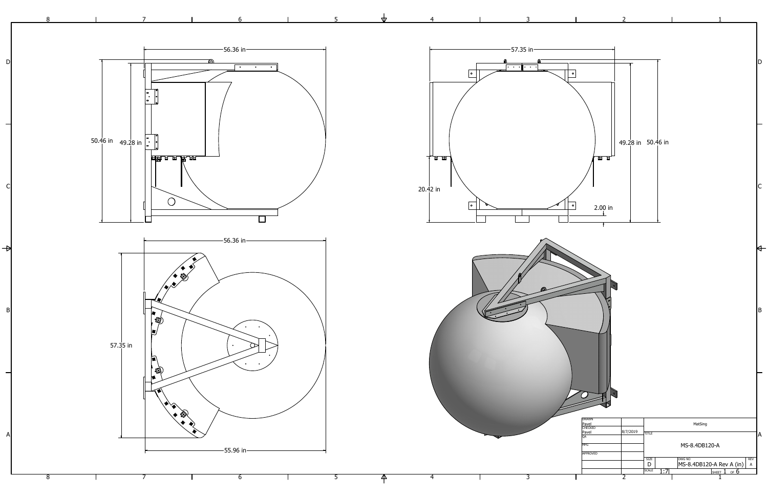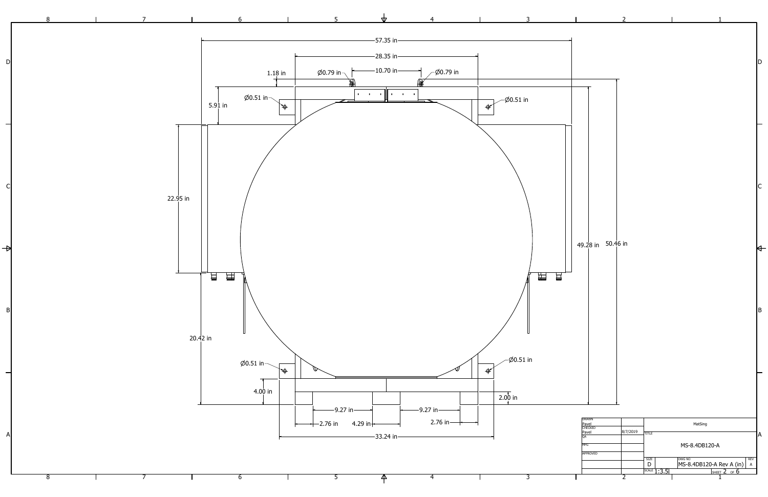

 $\overline{4}$  $\mathsf{P}$ 

 $\overline{\mathbf{3}}$ 

|                                           | $\overline{2}$                                 |             |                                                                                                          |                   |             |
|-------------------------------------------|------------------------------------------------|-------------|----------------------------------------------------------------------------------------------------------|-------------------|-------------|
|                                           |                                                |             |                                                                                                          |                   |             |
|                                           |                                                |             |                                                                                                          |                   | D           |
|                                           |                                                |             |                                                                                                          |                   |             |
|                                           |                                                |             |                                                                                                          |                   |             |
|                                           |                                                |             |                                                                                                          |                   |             |
|                                           |                                                |             |                                                                                                          |                   |             |
|                                           |                                                |             |                                                                                                          |                   | $\mathsf C$ |
|                                           |                                                |             |                                                                                                          |                   |             |
| 49.28 in 50.46 in                         |                                                |             |                                                                                                          |                   |             |
|                                           |                                                |             |                                                                                                          |                   |             |
|                                           |                                                |             |                                                                                                          |                   |             |
|                                           |                                                |             |                                                                                                          |                   | $\mathsf B$ |
|                                           |                                                |             |                                                                                                          |                   |             |
|                                           |                                                |             |                                                                                                          |                   |             |
|                                           |                                                |             |                                                                                                          |                   |             |
| <b>DRAWN</b><br>Pavel<br>CHECKED<br>Pavel | 8/7/2019<br><b>TITLE</b>                       |             | MatSing                                                                                                  |                   |             |
| QA<br><b>MFG</b><br><b>APPROVED</b>       |                                                |             | MS-8.4DB120-A                                                                                            | REV               | A           |
|                                           | <b>SIZE</b><br>$\mathsf{D}%$<br>$\overline{2}$ | SCALE 1:3.5 | <b>DWG NO</b><br>$\frac{\left \text{MS-8.4DB120-A Rev A (in)}\right }{\left \text{SHEET 2 OF 6}\right }$ | $\mathsf{A}$<br>1 |             |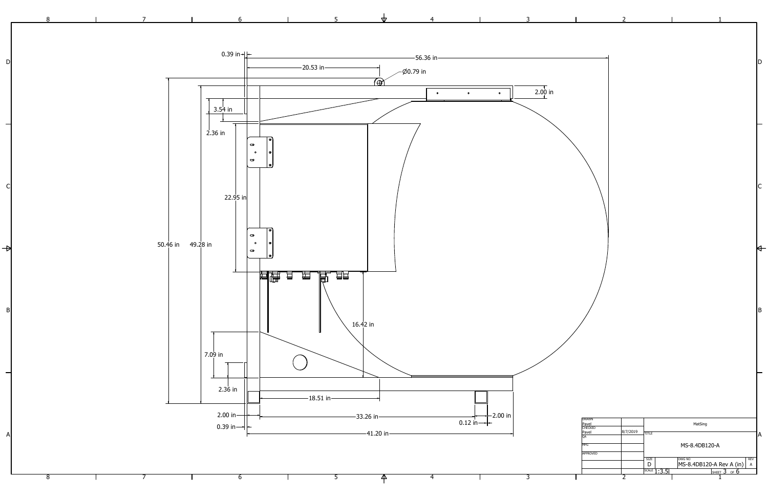

 $\frac{1}{\sqrt{2}}$ 

 $|C|$ 

 $\overline{\phantom{0}}$ 

6

 $\overline{\mathbf{3}}$ 

 $\overline{4}$ 

 $\mathsf{P}$ 

|                                  | $\overline{2}$ |              |             |                                                 |              |                  |
|----------------------------------|----------------|--------------|-------------|-------------------------------------------------|--------------|------------------|
|                                  |                |              |             |                                                 |              |                  |
|                                  |                |              |             |                                                 |              | D                |
|                                  |                |              |             |                                                 |              |                  |
|                                  |                |              |             |                                                 |              |                  |
|                                  |                |              |             |                                                 |              |                  |
|                                  |                |              |             |                                                 |              |                  |
|                                  |                |              |             |                                                 |              | $\mathsf C$      |
|                                  |                |              |             |                                                 |              |                  |
|                                  |                |              |             |                                                 |              |                  |
|                                  |                |              |             |                                                 |              |                  |
|                                  |                |              |             |                                                 |              |                  |
|                                  |                |              |             |                                                 |              | $\boldsymbol{B}$ |
|                                  |                |              |             |                                                 |              |                  |
|                                  |                |              |             |                                                 |              |                  |
|                                  |                |              |             |                                                 |              |                  |
|                                  |                |              |             |                                                 |              |                  |
| <b>DRAWN</b><br>Pavel<br>CHECKED |                |              |             | MatSing                                         |              |                  |
| Pavel<br>QA                      | 8/7/2019       | <b>TITLE</b> |             |                                                 |              | A                |
| <b>MFG</b>                       |                |              |             | MS-8.4DB120-A                                   |              |                  |
| <b>APPROVED</b>                  |                | <b>SIZE</b>  |             | <b>DWG NO</b>                                   | <b>REV</b>   |                  |
|                                  |                | $\mathsf D$  | SCALE 1:3.5 | <u>MS-8.4DB120-A Rev A (in)</u><br>SHEET 3 OF 6 | $\mathsf{A}$ |                  |
|                                  | $\overline{2}$ |              |             |                                                 |              |                  |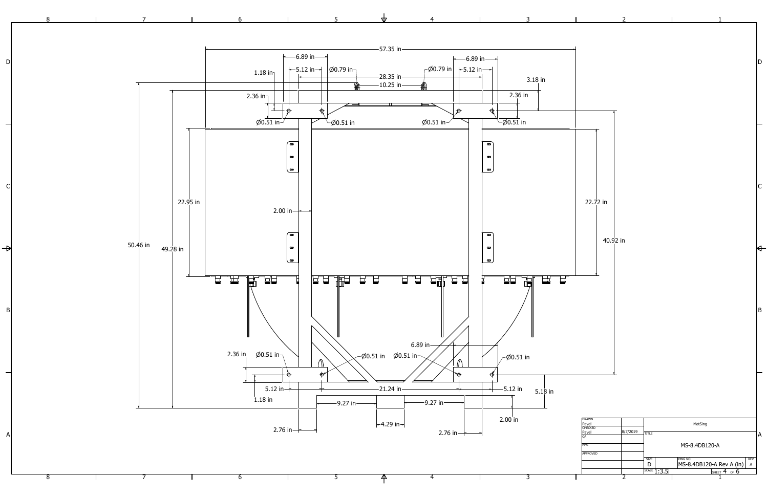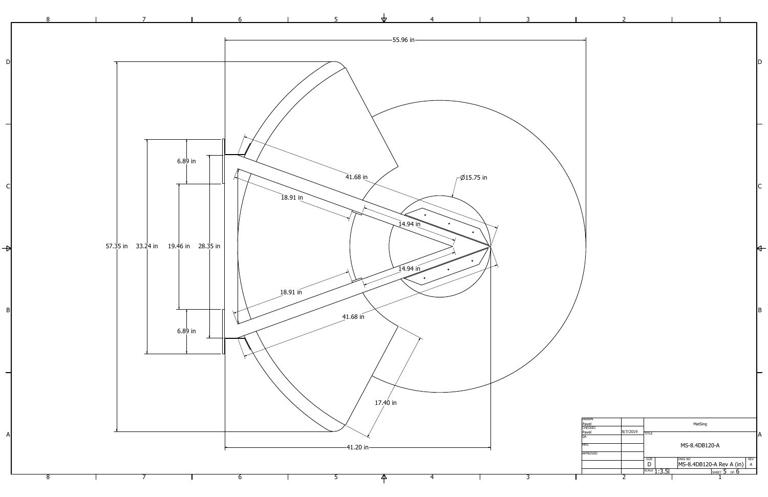![](_page_4_Figure_0.jpeg)

| <b>DRAWN</b><br>Pavel |          | MatSing                |                                |   |  |  |  |
|-----------------------|----------|------------------------|--------------------------------|---|--|--|--|
| <b>CHECKED</b>        |          |                        |                                |   |  |  |  |
| Pavel                 | 8/7/2019 | <b>TITLE</b>           |                                |   |  |  |  |
| QA                    |          |                        |                                | A |  |  |  |
| <b>MFG</b>            |          |                        | MS-8.4DB120-A                  |   |  |  |  |
| <b>APPROVED</b>       |          |                        |                                |   |  |  |  |
|                       |          | <b>SIZE</b>            | <b>DWG NO</b><br><b>REV</b>    |   |  |  |  |
|                       |          | $\Box$                 | MS-8.4DB120-A Rev A (in) <br>A |   |  |  |  |
|                       |          | <sup>SCALE</sup> 1:3.5 | OF <b>D</b><br><b>SHEET</b>    |   |  |  |  |
|                       |          |                        |                                |   |  |  |  |
|                       |          |                        |                                |   |  |  |  |

 $\mathsf{D}$ 

 $\overline{\mathsf{A}}$ 

 $|B|$